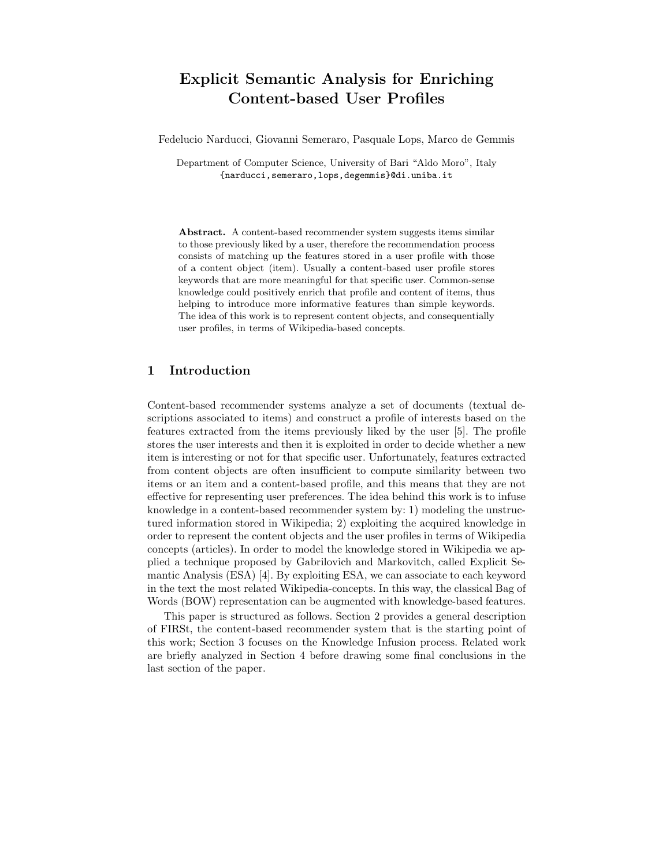# **Explicit Semantic Analysis for Enriching Content-based User Profiles**

Fedelucio Narducci, Giovanni Semeraro, Pasquale Lops, Marco de Gemmis

Department of Computer Science, University of Bari "Aldo Moro", Italy {narducci,semeraro,lops,degemmis}@di.uniba.it

**Abstract.** A content-based recommender system suggests items similar to those previously liked by a user, therefore the recommendation process consists of matching up the features stored in a user profile with those of a content object (item). Usually a content-based user profile stores keywords that are more meaningful for that specific user. Common-sense knowledge could positively enrich that profile and content of items, thus helping to introduce more informative features than simple keywords. The idea of this work is to represent content objects, and consequentially user profiles, in terms of Wikipedia-based concepts.

## **1 Introduction**

Content-based recommender systems analyze a set of documents (textual descriptions associated to items) and construct a profile of interests based on the features extracted from the items previously liked by the user [5]. The profile stores the user interests and then it is exploited in order to decide whether a new item is interesting or not for that specific user. Unfortunately, features extracted from content objects are often insufficient to compute similarity between two items or an item and a content-based profile, and this means that they are not effective for representing user preferences. The idea behind this work is to infuse knowledge in a content-based recommender system by: 1) modeling the unstructured information stored in Wikipedia; 2) exploiting the acquired knowledge in order to represent the content objects and the user profiles in terms of Wikipedia concepts (articles). In order to model the knowledge stored in Wikipedia we applied a technique proposed by Gabrilovich and Markovitch, called Explicit Semantic Analysis (ESA) [4]. By exploiting ESA, we can associate to each keyword in the text the most related Wikipedia-concepts. In this way, the classical Bag of Words (BOW) representation can be augmented with knowledge-based features.

This paper is structured as follows. Section 2 provides a general description of FIRSt, the content-based recommender system that is the starting point of this work; Section 3 focuses on the Knowledge Infusion process. Related work are briefly analyzed in Section 4 before drawing some final conclusions in the last section of the paper.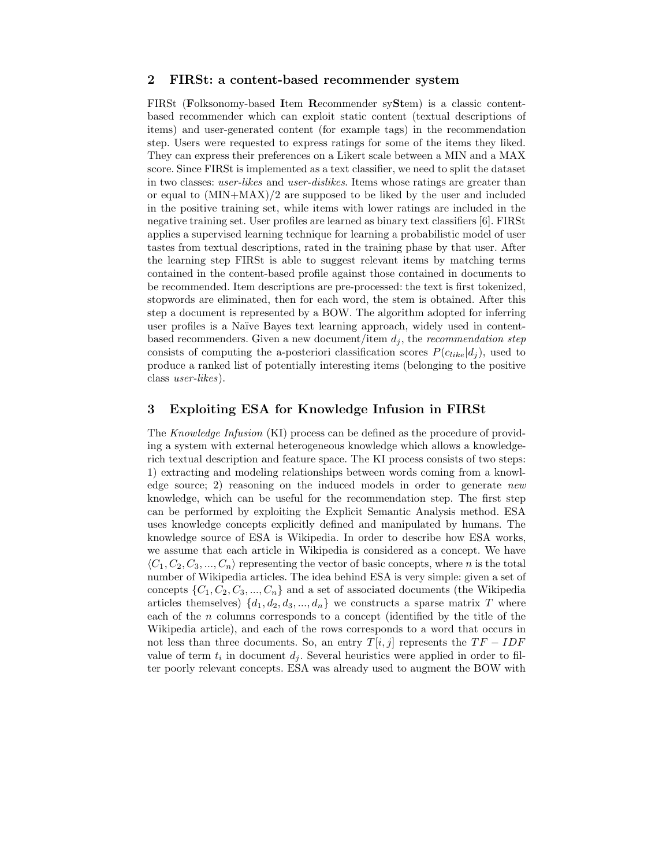#### **2 FIRSt: a content-based recommender system**

FIRSt (**F**olksonomy-based **I**tem **R**ecommender sy**St**em) is a classic contentbased recommender which can exploit static content (textual descriptions of items) and user-generated content (for example tags) in the recommendation step. Users were requested to express ratings for some of the items they liked. They can express their preferences on a Likert scale between a MIN and a MAX score. Since FIRSt is implemented as a text classifier, we need to split the dataset in two classes: *user-likes* and *user-dislikes*. Items whose ratings are greater than or equal to  $(MIN+MAX)/2$  are supposed to be liked by the user and included in the positive training set, while items with lower ratings are included in the negative training set. User profiles are learned as binary text classifiers [6]. FIRSt applies a supervised learning technique for learning a probabilistic model of user tastes from textual descriptions, rated in the training phase by that user. After the learning step FIRSt is able to suggest relevant items by matching terms contained in the content-based profile against those contained in documents to be recommended. Item descriptions are pre-processed: the text is first tokenized, stopwords are eliminated, then for each word, the stem is obtained. After this step a document is represented by a BOW. The algorithm adopted for inferring user profiles is a Naïve Bayes text learning approach, widely used in contentbased recommenders. Given a new document/item  $d_i$ , the *recommendation step* consists of computing the a-posteriori classification scores  $P(c_{like}|d_i)$ , used to produce a ranked list of potentially interesting items (belonging to the positive class *user-likes*).

### **3 Exploiting ESA for Knowledge Infusion in FIRSt**

The *Knowledge Infusion* (KI) process can be defined as the procedure of providing a system with external heterogeneous knowledge which allows a knowledgerich textual description and feature space. The KI process consists of two steps: 1) extracting and modeling relationships between words coming from a knowledge source; 2) reasoning on the induced models in order to generate *new* knowledge, which can be useful for the recommendation step. The first step can be performed by exploiting the Explicit Semantic Analysis method. ESA uses knowledge concepts explicitly defined and manipulated by humans. The knowledge source of ESA is Wikipedia. In order to describe how ESA works, we assume that each article in Wikipedia is considered as a concept. We have  $\langle C_1, C_2, C_3, ..., C_n \rangle$  representing the vector of basic concepts, where *n* is the total number of Wikipedia articles. The idea behind ESA is very simple: given a set of concepts  $\{C_1, C_2, C_3, ..., C_n\}$  and a set of associated documents (the Wikipedia articles themselves)  $\{d_1, d_2, d_3, ..., d_n\}$  we constructs a sparse matrix *T* where each of the *n* columns corresponds to a concept (identified by the title of the Wikipedia article), and each of the rows corresponds to a word that occurs in not less than three documents. So, an entry  $T[i, j]$  represents the  $TF - IDF$ value of term  $t_i$  in document  $d_j$ . Several heuristics were applied in order to filter poorly relevant concepts. ESA was already used to augment the BOW with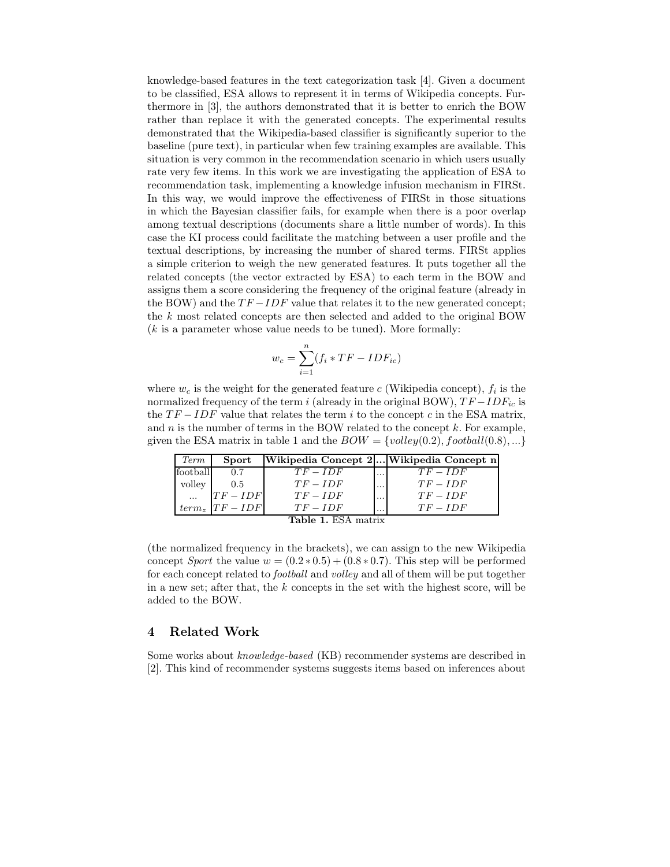knowledge-based features in the text categorization task [4]. Given a document to be classified, ESA allows to represent it in terms of Wikipedia concepts. Furthermore in [3], the authors demonstrated that it is better to enrich the BOW rather than replace it with the generated concepts. The experimental results demonstrated that the Wikipedia-based classifier is significantly superior to the baseline (pure text), in particular when few training examples are available. This situation is very common in the recommendation scenario in which users usually rate very few items. In this work we are investigating the application of ESA to recommendation task, implementing a knowledge infusion mechanism in FIRSt. In this way, we would improve the effectiveness of FIRSt in those situations in which the Bayesian classifier fails, for example when there is a poor overlap among textual descriptions (documents share a little number of words). In this case the KI process could facilitate the matching between a user profile and the textual descriptions, by increasing the number of shared terms. FIRSt applies a simple criterion to weigh the new generated features. It puts together all the related concepts (the vector extracted by ESA) to each term in the BOW and assigns them a score considering the frequency of the original feature (already in the BOW) and the *T F* −*IDF* value that relates it to the new generated concept; the *k* most related concepts are then selected and added to the original BOW (*k* is a parameter whose value needs to be tuned). More formally:

$$
w_c = \sum_{i=1}^{n} (f_i * TF - IDF_{ic})
$$

where  $w_c$  is the weight for the generated feature c (Wikipedia concept),  $f_i$  is the normalized frequency of the term *i* (already in the original BOW),  $TF - IDF_{ic}$  is the  $TF - IDF$  value that relates the term *i* to the concept *c* in the ESA matrix, and *n* is the number of terms in the BOW related to the concept *k*. For example, given the ESA matrix in table 1 and the  $BOW = \{volley(0.2), football(0.8),...\}$ 

| <i>Term</i>  | Sport        | Wikipedia Concept 2 Wikipedia Concept n |          |            |
|--------------|--------------|-----------------------------------------|----------|------------|
| football     | 0.7          | $TF-IDF$                                | $\cdots$ | $TF - IDF$ |
| volley       | 0.5          | $TF - IDF$                              | $\cdots$ | $TF - IDF$ |
| $\cdots$     | $TF - IDF$   | $TF - IDF$                              | $\cdots$ | $TF-IDF$   |
| $term_z$     | $ TF - IDF $ | $TF - IDF$                              | $\cdots$ | $TF - IDF$ |
| Table 1. ESA |              |                                         |          |            |

(the normalized frequency in the brackets), we can assign to the new Wikipedia concept *Sport* the value  $w = (0.2 * 0.5) + (0.8 * 0.7)$ . This step will be performed for each concept related to *football* and *volley* and all of them will be put together in a new set; after that, the *k* concepts in the set with the highest score, will be added to the BOW.

## **4 Related Work**

Some works about *knowledge-based* (KB) recommender systems are described in [2]. This kind of recommender systems suggests items based on inferences about